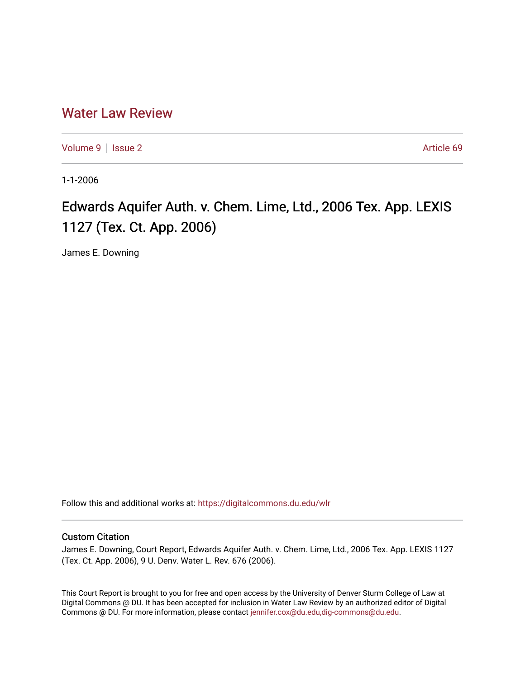# [Water Law Review](https://digitalcommons.du.edu/wlr)

[Volume 9](https://digitalcommons.du.edu/wlr/vol9) | [Issue 2](https://digitalcommons.du.edu/wlr/vol9/iss2) Article 69

1-1-2006

# Edwards Aquifer Auth. v. Chem. Lime, Ltd., 2006 Tex. App. LEXIS 1127 (Tex. Ct. App. 2006)

James E. Downing

Follow this and additional works at: [https://digitalcommons.du.edu/wlr](https://digitalcommons.du.edu/wlr?utm_source=digitalcommons.du.edu%2Fwlr%2Fvol9%2Fiss2%2F69&utm_medium=PDF&utm_campaign=PDFCoverPages) 

## Custom Citation

James E. Downing, Court Report, Edwards Aquifer Auth. v. Chem. Lime, Ltd., 2006 Tex. App. LEXIS 1127 (Tex. Ct. App. 2006), 9 U. Denv. Water L. Rev. 676 (2006).

This Court Report is brought to you for free and open access by the University of Denver Sturm College of Law at Digital Commons @ DU. It has been accepted for inclusion in Water Law Review by an authorized editor of Digital Commons @ DU. For more information, please contact [jennifer.cox@du.edu,dig-commons@du.edu.](mailto:jennifer.cox@du.edu,dig-commons@du.edu)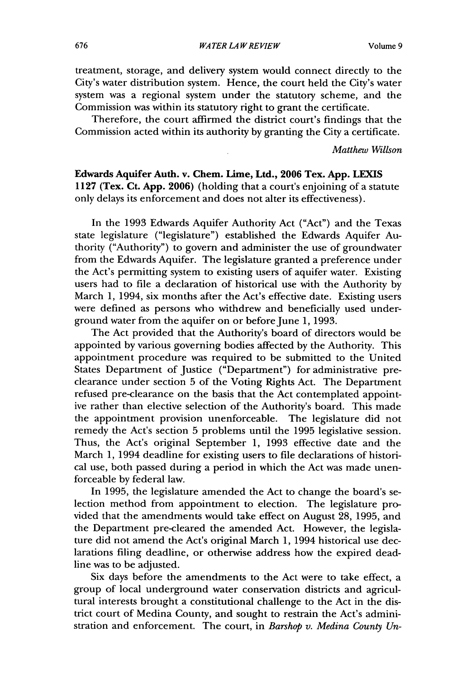treatment, storage, and delivery system would connect directly to the City's water distribution system. Hence, the court held the City's water system was a regional system under the statutory scheme, and the Commission was within its statutory right to grant the certificate.

Therefore, the court affirmed the district court's findings that the Commission acted within its authority by granting the City a certificate.

*Matthew Willson*

Edwards Aquifer Auth. **v. Chem. Lime, Ltd., 2006 Tex. App.** LEXIS **1127** (Tex. **Ct. App. 2006)** (holding that a court's enjoining of a statute only delays its enforcement and does not alter its effectiveness).

In the 1993 Edwards Aquifer Authority Act ("Act") and the Texas state legislature ("legislature") established the Edwards Aquifer Authority ("Authority") to govern and administer the use of groundwater from the Edwards Aquifer. The legislature granted a preference under the Act's permitting system to existing users of aquifer water. Existing users had to file a declaration of historical use with the Authority by March 1, 1994, six months after the Act's effective date. Existing users were defined as persons who withdrew and beneficially used underground water from the aquifer on or before June 1, 1993.

The Act provided that the Authority's board of directors would be appointed by various governing bodies affected by the Authority. This appointment procedure was required to be submitted to the United States Department of Justice ("Department") for administrative preclearance under section 5 of the Voting Rights Act. The Department refused pre-clearance on the basis that the Act contemplated appointive rather than elective selection of the Authority's board. This made the appointment provision unenforceable. The legislature did not remedy the Act's section 5 problems until the 1995 legislative session. Thus, the Act's original September 1, 1993 effective date and the March 1, 1994 deadline for existing users to file declarations of historical use, both passed during a period in which the Act was made unenforceable by federal law.

In 1995, the legislature amended the Act to change the board's selection method from appointment to election. The legislature provided that the amendments would take effect on August 28, 1995, and the Department pre-cleared the amended Act. However, the legislature did not amend the Act's original March 1, 1994 historical use declarations filing deadline, or otherwise address how the expired deadline was to be adjusted.

Six days before the amendments to the Act were to take effect, a group of local underground water conservation districts and agricultural interests brought a constitutional challenge to the Act in the district court of Medina County, and sought to restrain the Act's administration and enforcement. The court, in *Barshop v. Medina County Un-*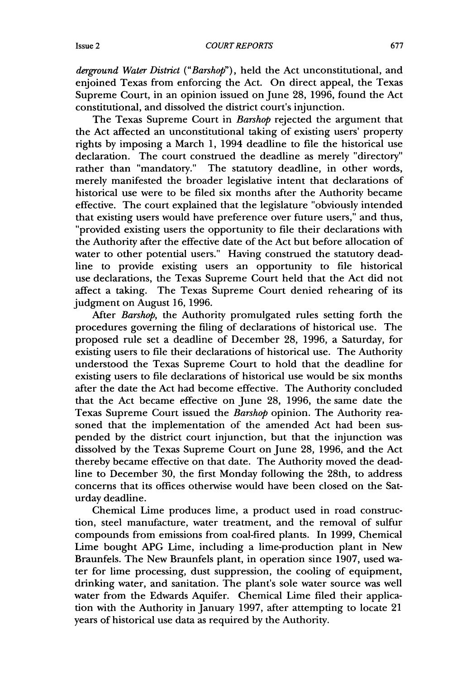#### *COURT REPORTS*

*derground Water District ("Barshop"),* held the Act unconstitutional, and enjoined Texas from enforcing the Act. On direct appeal, the Texas Supreme Court, in an opinion issued on June 28, 1996, found the Act constitutional, and dissolved the district court's injunction.

The Texas Supreme Court in *Barshop* rejected the argument that the Act affected an unconstitutional taking of existing users' property rights by imposing a March 1, 1994 deadline to file the historical use declaration. The court construed the deadline as merely "directory" rather than "mandatory." The statutory deadline, in other words, merely manifested the broader legislative intent that declarations of historical use were to be filed six months after the Authority became effective. The court explained that the legislature "obviously intended that existing users would have preference over future users," and thus, "provided existing users the opportunity to file their declarations with the Authority after the effective date of the Act but before allocation of water to other potential users." Having construed the statutory deadline to provide existing users an opportunity to file historical use declarations, the Texas Supreme Court held that the Act did not affect a taking. The Texas Supreme Court denied rehearing of its judgment on August 16, 1996.

After *Barshop,* the Authority promulgated rules setting forth the procedures governing the filing of declarations of historical use. The proposed rule set a deadline of December 28, 1996, a Saturday, for existing users to file their declarations of historical use. The Authority understood the Texas Supreme Court to hold that the deadline for existing users to file declarations of historical use would be six months after the date the Act had become effective. The Authority concluded that the Act became effective on June 28, 1996, the same date the Texas Supreme Court issued the *Barshop* opinion. The Authority reasoned that the implementation of the amended Act had been suspended by the district court injunction, but that the injunction was dissolved by the Texas Supreme Court on June 28, 1996, and the Act thereby became effective on that date. The Authority moved the deadline to December 30, the first Monday following the 28th, to address concerns that its offices otherwise would have been closed on the Saturday deadline.

Chemical Lime produces lime, a product used in road construction, steel manufacture, water treatment, and the removal of sulfur compounds from emissions from coal-fired plants. In 1999, Chemical Lime bought APG Lime, including a lime-production plant in New Braunfels. The New Braunfels plant, in operation since 1907, used water for lime processing, dust suppression, the cooling of equipment, drinking water, and sanitation. The plant's sole water source was well water from the Edwards Aquifer. Chemical Lime filed their application with the Authority in January 1997, after attempting to locate 21 years of historical use data as required by the Authority.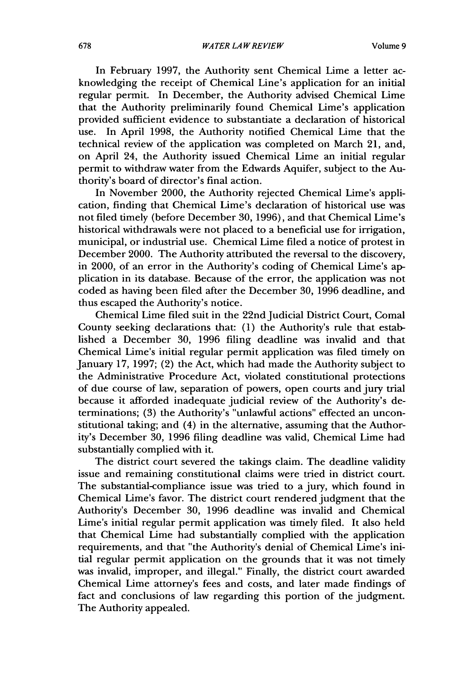In February 1997, the Authority sent Chemical Lime a letter acknowledging the receipt of Chemical Line's application for an initial regular permit. In December, the Authority advised Chemical Lime that the Authority preliminarily found Chemical Lime's application provided sufficient evidence to substantiate a declaration of historical use. In April 1998, the Authority notified Chemical Lime that the technical review of the application was completed on March 21, and, on April 24, the Authority issued Chemical Lime an initial regular permit to withdraw water from the Edwards Aquifer, subject to the Authority's board of director's final action.

In November 2000, the Authority rejected Chemical Lime's application, finding that Chemical Lime's declaration of historical use was not filed timely (before December 30, 1996), and that Chemical Lime's historical withdrawals were not placed to a beneficial use for irrigation, municipal, or industrial use. Chemical Lime filed a notice of protest in December 2000. The Authority attributed the reversal to the discovery, in 2000, of an error in the Authority's coding of Chemical Lime's application in its database. Because of the error, the application was not coded as having been filed after the December 30, 1996 deadline, and thus escaped the Authority's notice.

Chemical Lime filed suit in the 22nd Judicial District Court, Comal County seeking declarations that: (1) the Authority's rule that established a December 30, 1996 filing deadline was invalid and that Chemical Lime's initial regular permit application was filed timely on January 17, 1997; (2) the Act, which had made the Authority subject to the Administrative Procedure Act, violated constitutional protections of due course of law, separation of powers, open courts and jury trial because it afforded inadequate judicial review of the Authority's determinations; (3) the Authority's "unlawful actions" effected an unconstitutional taking; and (4) in the alternative, assuming that the Authority's December 30, 1996 filing deadline was valid, Chemical Lime had substantially complied with it.

The district court severed the takings claim. The deadline validity issue and remaining constitutional claims were tried in district court. The substantial-compliance issue was tried to a jury, which found in Chemical Lime's favor. The district court rendered judgment that the Authority's December 30, 1996 deadline was invalid and Chemical Lime's initial regular permit application was timely filed. It also held that Chemical Lime had substantially complied with the application requirements, and that "the Authority's denial of Chemical Lime's initial regular permit application on the grounds that it was not timely was invalid, improper, and illegal." Finally, the district court awarded Chemical Lime attorney's fees and costs, and later made findings of fact and conclusions of law regarding this portion of the judgment. The Authority appealed.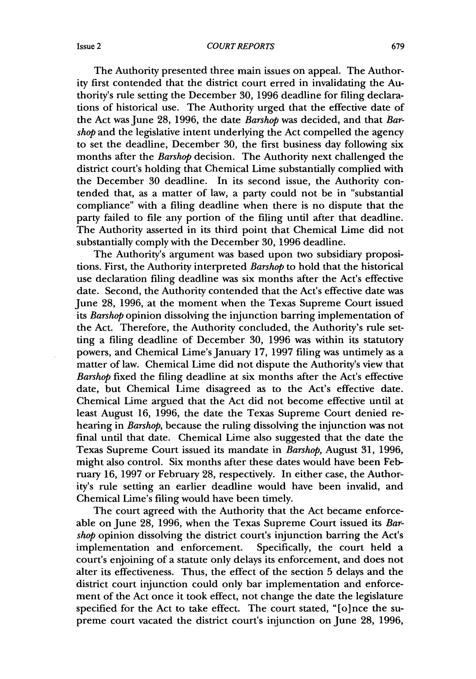The Authority presented three main issues on appeal. The Authority first contended that the district court erred in invalidating the Authority's rule setting the December **30,** 1996 deadline for filing declarations of historical use. The Authority urged that the effective date of the Act was June 28, 1996, the date *Barshop* was decided, and that *Barshop* and the legislative intent underlying the Act compelled the agency to set the deadline, December 30, the first business day following six months after the *Barshop* decision. The Authority next challenged the district court's holding that Chemical Lime substantially complied with the December 30 deadline. In its second issue, the Authority contended that, as a matter of law, a party could not be in "substantial compliance" with a filing deadline when there is no dispute that the party failed to file any portion of the filing until after that deadline. The Authority asserted in its third point that Chemical Lime did not substantially comply with the December **30,** 1996 deadline.

The Authority's argument was based upon two subsidiary propositions. First, the Authority interpreted *Barshop* to hold that the historical use declaration filing deadline was six months after the Act's effective date. Second, the Authority contended that the Act's effective date was June 28, 1996, at the moment when the Texas Supreme Court issued *its Barshop* opinion dissolving the injunction barring implementation of the Act. Therefore, the Authority concluded, the Authority's rule setting a filing deadline of December **30,** 1996 was within its statutory powers, and Chemical Lime's January 17, 1997 filing was untimely as a matter of law. Chemical Lime did not dispute the Authority's view that *Barshop* fixed the filing deadline at six months after the Act's effective date, but Chemical Lime disagreed as to the Act's effective date. Chemical Lime argued that the Act did not become effective until at least August 16, 1996, the date the Texas Supreme Court denied rehearing in *Barshop,* because the ruling dissolving the injunction was not final until that date. Chemical Lime also suggested that the date the Texas Supreme Court issued its mandate in *Barshop,* August **31,** 1996, might also control. Six months after these dates would have been February 16, 1997 or February 28, respectively. In either case, the Authority's rule setting an earlier deadline would have been invalid, and Chemical Lime's filing would have been timely.

The court agreed with the Authority that the Act became enforceable on June **28,** 1996, when the Texas Supreme Court issued its *Barshop* opinion dissolving the district court's injunction barring the Act's implementation and enforcement. Specifically, the court held a court's enjoining of a statute only delays its enforcement, and does not alter its effectiveness. Thus, the effect of the section **5** delays and the district court injunction could only bar implementation and enforcement of the Act once it took effect, not change the date the legislature specified for the Act to take effect. The court stated, "[o]nce the supreme court vacated the district court's injunction on June 28, 1996,